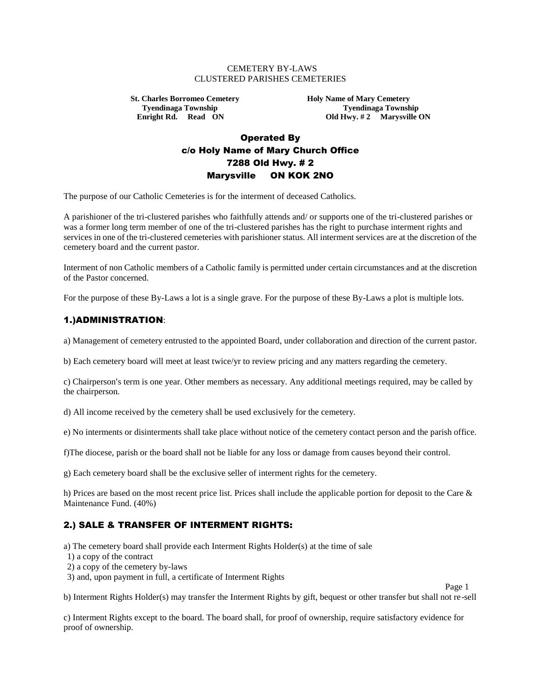#### CEMETERY BY-LAWS CLUSTERED PARISHES CEMETERIES

**St. Charles Borromeo Cemetery Holy Name of Mary Cemetery** 

**Tyendinaga Township 75 and Tyendinaga Township 1.1 and Tyendinaga Township 1.1 and Tyendinaga Township 1.1 and Tyendinaga Township 1.1 and Tyendinaga Township 1.1 and Tyendinaga Township 1.1 and Tyendinaga Township 1.1 an Old Hwy. #2 Marysville ON** 

Page 1

# Operated By c/o Holy Name of Mary Church Office 7288 Old Hwy. # 2 Marysville ON KOK 2NO

The purpose of our Catholic Cemeteries is for the interment of deceased Catholics.

A parishioner of the tri-clustered parishes who faithfully attends and/ or supports one of the tri-clustered parishes or was a former long term member of one of the tri-clustered parishes has the right to purchase interment rights and services in one of the tri-clustered cemeteries with parishioner status. All interment services are at the discretion of the cemetery board and the current pastor.

Interment of non Catholic members of a Catholic family is permitted under certain circumstances and at the discretion of the Pastor concerned.

For the purpose of these By-Laws a lot is a single grave. For the purpose of these By-Laws a plot is multiple lots.

#### 1.)ADMINISTRATION:

a) Management of cemetery entrusted to the appointed Board, under collaboration and direction of the current pastor.

b) Each cemetery board will meet at least twice/yr to review pricing and any matters regarding the cemetery.

c) Chairperson's term is one year. Other members as necessary. Any additional meetings required, may be called by the chairperson.

d) All income received by the cemetery shall be used exclusively for the cemetery.

e) No interments or disinterments shall take place without notice of the cemetery contact person and the parish office.

f)The diocese, parish or the board shall not be liable for any loss or damage from causes beyond their control.

g) Each cemetery board shall be the exclusive seller of interment rights for the cemetery.

h) Prices are based on the most recent price list. Prices shall include the applicable portion for deposit to the Care & Maintenance Fund. (40%)

### 2.) SALE & TRANSFER OF INTERMENT RIGHTS:

a) The cemetery board shall provide each Interment Rights Holder(s) at the time of sale

- 1) a copy of the contract
- 2) a copy of the cemetery by-laws
- 3) and, upon payment in full, a certificate of Interment Rights

b) Interment Rights Holder(s) may transfer the Interment Rights by gift, bequest or other transfer but shall not re-sell

c) Interment Rights except to the board. The board shall, for proof of ownership, require satisfactory evidence for proof of ownership.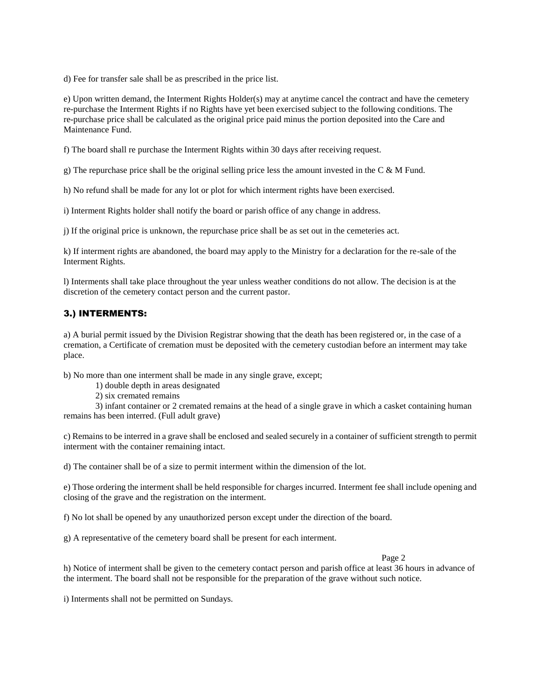d) Fee for transfer sale shall be as prescribed in the price list.

e) Upon written demand, the Interment Rights Holder(s) may at anytime cancel the contract and have the cemetery re-purchase the Interment Rights if no Rights have yet been exercised subject to the following conditions. The re-purchase price shall be calculated as the original price paid minus the portion deposited into the Care and Maintenance Fund.

f) The board shall re purchase the Interment Rights within 30 days after receiving request.

g) The repurchase price shall be the original selling price less the amount invested in the C  $\&$  M Fund.

h) No refund shall be made for any lot or plot for which interment rights have been exercised.

i) Interment Rights holder shall notify the board or parish office of any change in address.

j) If the original price is unknown, the repurchase price shall be as set out in the cemeteries act.

k) If interment rights are abandoned, the board may apply to the Ministry for a declaration for the re-sale of the Interment Rights.

l) Interments shall take place throughout the year unless weather conditions do not allow. The decision is at the discretion of the cemetery contact person and the current pastor.

### 3.) INTERMENTS:

a) A burial permit issued by the Division Registrar showing that the death has been registered or, in the case of a cremation, a Certificate of cremation must be deposited with the cemetery custodian before an interment may take place.

b) No more than one interment shall be made in any single grave, except;

1) double depth in areas designated

2) six cremated remains

3) infant container or 2 cremated remains at the head of a single grave in which a casket containing human remains has been interred. (Full adult grave)

c) Remains to be interred in a grave shall be enclosed and sealed securely in a container of sufficient strength to permit interment with the container remaining intact.

d) The container shall be of a size to permit interment within the dimension of the lot.

e) Those ordering the interment shall be held responsible for charges incurred. Interment fee shall include opening and closing of the grave and the registration on the interment.

f) No lot shall be opened by any unauthorized person except under the direction of the board.

g) A representative of the cemetery board shall be present for each interment.

Page 2

h) Notice of interment shall be given to the cemetery contact person and parish office at least 36 hours in advance of the interment. The board shall not be responsible for the preparation of the grave without such notice.

i) Interments shall not be permitted on Sundays.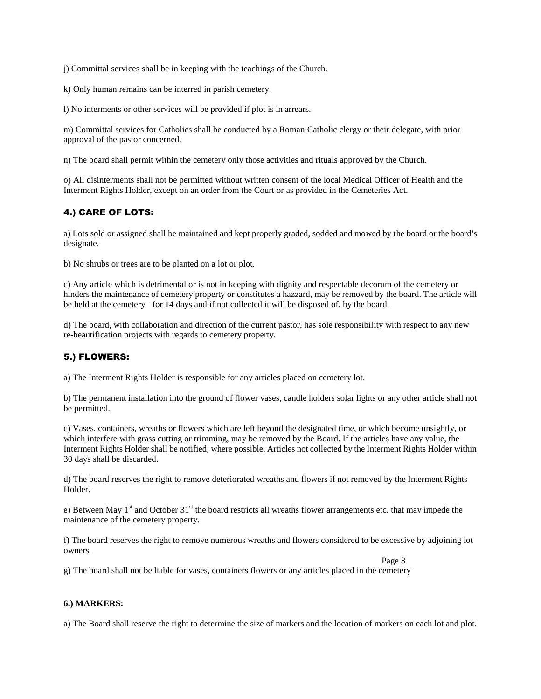j) Committal services shall be in keeping with the teachings of the Church.

k) Only human remains can be interred in parish cemetery.

l) No interments or other services will be provided if plot is in arrears.

m) Committal services for Catholics shall be conducted by a Roman Catholic clergy or their delegate, with prior approval of the pastor concerned.

n) The board shall permit within the cemetery only those activities and rituals approved by the Church.

o) All disinterments shall not be permitted without written consent of the local Medical Officer of Health and the Interment Rights Holder, except on an order from the Court or as provided in the Cemeteries Act.

### 4.) CARE OF LOTS:

a) Lots sold or assigned shall be maintained and kept properly graded, sodded and mowed by the board or the board's designate.

b) No shrubs or trees are to be planted on a lot or plot.

c) Any article which is detrimental or is not in keeping with dignity and respectable decorum of the cemetery or hinders the maintenance of cemetery property or constitutes a hazzard, may be removed by the board. The article will be held at the cemetery for 14 days and if not collected it will be disposed of, by the board.

d) The board, with collaboration and direction of the current pastor, has sole responsibility with respect to any new re-beautification projects with regards to cemetery property.

### 5.) FLOWERS:

a) The Interment Rights Holder is responsible for any articles placed on cemetery lot.

b) The permanent installation into the ground of flower vases, candle holders solar lights or any other article shall not be permitted.

c) Vases, containers, wreaths or flowers which are left beyond the designated time, or which become unsightly, or which interfere with grass cutting or trimming, may be removed by the Board. If the articles have any value, the Interment Rights Holder shall be notified, where possible. Articles not collected by the Interment Rights Holder within 30 days shall be discarded.

d) The board reserves the right to remove deteriorated wreaths and flowers if not removed by the Interment Rights Holder.

e) Between May  $1<sup>st</sup>$  and October 31<sup>st</sup> the board restricts all wreaths flower arrangements etc. that may impede the maintenance of the cemetery property.

f) The board reserves the right to remove numerous wreaths and flowers considered to be excessive by adjoining lot owners.

Page 3

g) The board shall not be liable for vases, containers flowers or any articles placed in the cemetery

#### **6.) MARKERS:**

a) The Board shall reserve the right to determine the size of markers and the location of markers on each lot and plot.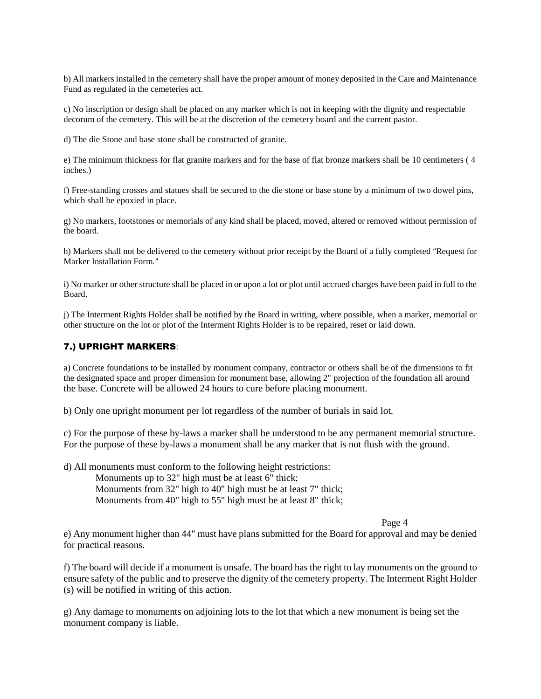b) All markers installed in the cemetery shall have the proper amount of money deposited in the Care and Maintenance Fund as regulated in the cemeteries act.

c) No inscription or design shall be placed on any marker which is not in keeping with the dignity and respectable decorum of the cemetery. This will be at the discretion of the cemetery board and the current pastor.

d) The die Stone and base stone shall be constructed of granite.

e) The minimum thickness for flat granite markers and for the base of flat bronze markers shall be 10 centimeters ( 4 inches.)

f) Free-standing crosses and statues shall be secured to the die stone or base stone by a minimum of two dowel pins, which shall be epoxied in place.

g) No markers, footstones or memorials of any kind shall be placed, moved, altered or removed without permission of the board.

h) Markers shall not be delivered to the cemetery without prior receipt by the Board of a fully completed "Request for Marker Installation Form."

i) No marker or other structure shall be placed in or upon a lot or plot until accrued charges have been paid in full to the Board.

j) The Interment Rights Holder shall be notified by the Board in writing, where possible, when a marker, memorial or other structure on the lot or plot of the Interment Rights Holder is to be repaired, reset or laid down.

#### 7.) UPRIGHT MARKERS:

a) Concrete foundations to be installed by monument company, contractor or others shall be of the dimensions to fit the designated space and proper dimension for monument base, allowing 2" projection of the foundation all around the base. Concrete will be allowed 24 hours to cure before placing monument.

b) Only one upright monument per lot regardless of the number of burials in said lot.

c) For the purpose of these by-laws a marker shall be understood to be any permanent memorial structure. For the purpose of these by-laws a monument shall be any marker that is not flush with the ground.

d) All monuments must conform to the following height restrictions:

Monuments up to 32" high must be at least 6" thick;

Monuments from 32" high to 40" high must be at least 7" thick;

Monuments from 40" high to 55" high must be at least 8" thick;

Page 4

e) Any monument higher than 44" must have plans submitted for the Board for approval and may be denied for practical reasons.

f) The board will decide if a monument is unsafe. The board has the right to lay monuments on the ground to ensure safety of the public and to preserve the dignity of the cemetery property. The Interment Right Holder (s) will be notified in writing of this action.

g) Any damage to monuments on adjoining lots to the lot that which a new monument is being set the monument company is liable.